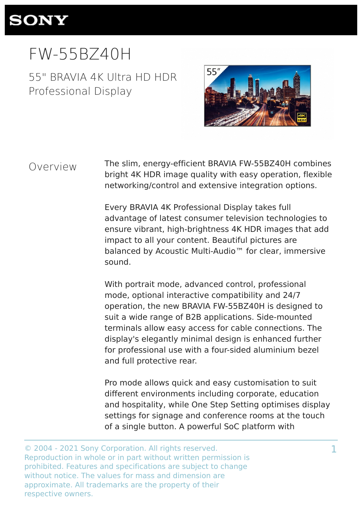

# FW-55BZ40H

55" BRAVIA 4K Ultra HD HDR Professional Display



Overview

The slim, energy-efficient BRAVIA FW-55BZ40H combines bright 4K HDR image quality with easy operation, flexible networking/control and extensive integration options.

Every BRAVIA 4K Professional Display takes full advantage of latest consumer television technologies to ensure vibrant, high-brightness 4K HDR images that add impact to all your content. Beautiful pictures are balanced by Acoustic Multi-Audio<sup>™</sup> for clear, immersive sound.

With portrait mode, advanced control, professional mode, optional interactive compatibility and 24/7 operation, the new BRAVIA FW-55BZ40H is designed to suit a wide range of B2B applications. Side-mounted terminals allow easy access for cable connections. The display's elegantly minimal design is enhanced further for professional use with a four-sided aluminium bezel and full protective rear.

Pro mode allows quick and easy customisation to suit different environments including corporate, education and hospitality, while One Step Setting optimises display settings for signage and conference rooms at the touch of a single button. A powerful SoC platform with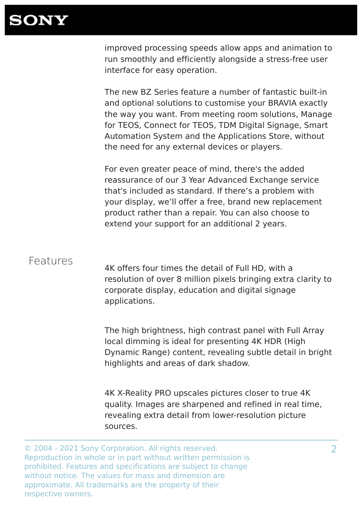

improved processing speeds allow apps and animation to run smoothly and efficiently alongside a stress-free user interface for easy operation.

The new BZ Series feature a number of fantastic built-in and optional solutions to customise your BRAVIA exactly the way you want. From meeting room solutions, Manage for TEOS, Connect for TEOS, TDM Digital Signage, Smart Automation System and the Applications Store, without the need for any external devices or players.

For even greater peace of mind, there's the added reassurance of our 3 Year Advanced Exchange service that's included as standard. If there's a problem with your display, we'll offer a free, brand new replacement product rather than a repair. You can also choose to extend your support for an additional 2 years.

#### Features

4K offers four times the detail of Full HD, with a resolution of over 8 million pixels bringing extra clarity to corporate display, education and digital signage applications.

The high brightness, high contrast panel with Full Array local dimming is ideal for presenting 4K HDR (High Dynamic Range) content, revealing subtle detail in bright highlights and areas of dark shadow.

4K X-Reality PRO upscales pictures closer to true 4K quality. Images are sharpened and refined in real time, revealing extra detail from lower-resolution picture sources.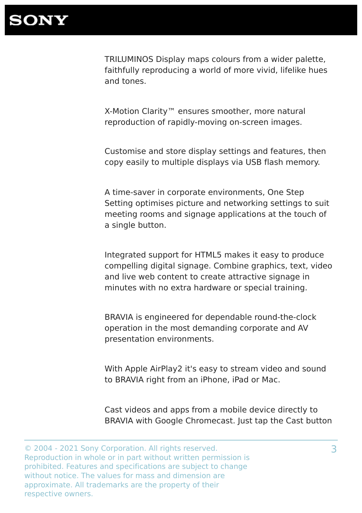TRILUMINOS Display maps colours from a wider palette, faithfully reproducing a world of more vivid, lifelike hues and tones.

X-Motion Clarity™ ensures smoother, more natural reproduction of rapidly-moving on-screen images.

Customise and store display settings and features, then copy easily to multiple displays via USB flash memory.

A time-saver in corporate environments, One Step Setting optimises picture and networking settings to suit meeting rooms and signage applications at the touch of a single button.

Integrated support for HTML5 makes it easy to produce compelling digital signage. Combine graphics, text, video and live web content to create attractive signage in minutes with no extra hardware or special training.

BRAVIA is engineered for dependable round-the-clock operation in the most demanding corporate and AV presentation environments.

With Apple AirPlay2 it's easy to stream video and sound to BRAVIA right from an iPhone, iPad or Mac.

Cast videos and apps from a mobile device directly to BRAVIA with Google Chromecast. Just tap the Cast button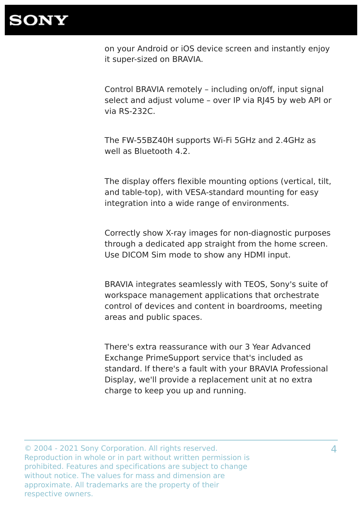

on your Android or iOS device screen and instantly enjoy it super-sized on BRAVIA.

Control BRAVIA remotely – including on/off, input signal select and adjust volume – over IP via RJ45 by web API or via RS-232C.

The FW-55BZ40H supports Wi-Fi 5GHz and 2.4GHz as well as Bluetooth 4.2.

The display offers flexible mounting options (vertical, tilt, and table-top), with VESA-standard mounting for easy integration into a wide range of environments.

Correctly show X-ray images for non-diagnostic purposes through a dedicated app straight from the home screen. Use DICOM Sim mode to show any HDMI input.

BRAVIA integrates seamlessly with TEOS, Sony's suite of workspace management applications that orchestrate control of devices and content in boardrooms, meeting areas and public spaces.

There's extra reassurance with our 3 Year Advanced Exchange PrimeSupport service that's included as standard. If there's a fault with your BRAVIA Professional Display, we'll provide a replacement unit at no extra charge to keep you up and running.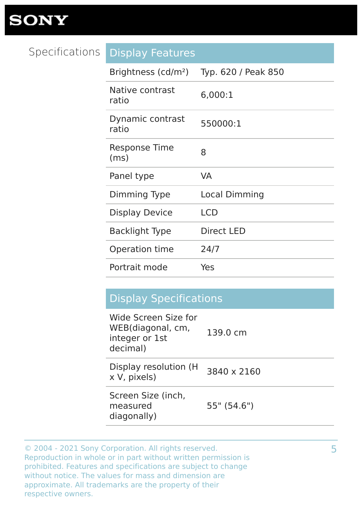#### Specifications Display Features

| Brightness (cd/m <sup>2</sup> ) | Typ. 620 / Peak 850  |
|---------------------------------|----------------------|
| Native contrast<br>ratio        | 6,000:1              |
| Dynamic contrast<br>ratio       | 550000:1             |
| Response Time<br>(ms)           | 8                    |
| Panel type                      | <b>VA</b>            |
| Dimming Type                    | <b>Local Dimming</b> |
| <b>Display Device</b>           | <b>LCD</b>           |
| <b>Backlight Type</b>           | <b>Direct LED</b>    |
| Operation time                  | 24/7                 |
| Portrait mode                   | Yes                  |

#### Display Specifications

| 139.0 cm      |
|---------------|
| 3840 x 2160   |
| $55"$ (54.6") |
|               |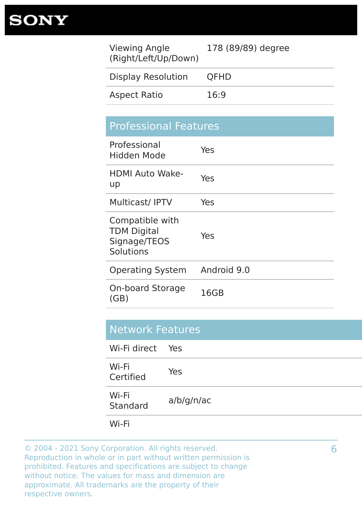| <b>Viewing Angle</b><br>(Right/Left/Up/Down) | 178 (89/89) degree |
|----------------------------------------------|--------------------|
| <b>Display Resolution</b>                    | <b>QFHD</b>        |
| <b>Aspect Ratio</b>                          | 16:9               |
|                                              |                    |

| <b>Professional Features</b>                                       |             |
|--------------------------------------------------------------------|-------------|
| Professional<br>Hidden Mode                                        | Yes         |
| <b>HDMI Auto Wake-</b><br>up                                       | Yes         |
| <b>Multicast/IPTV</b>                                              | Yes         |
| Compatible with<br><b>TDM Digital</b><br>Signage/TEOS<br>Solutions | Yes         |
| <b>Operating System</b>                                            | Android 9.0 |
| <b>On-board Storage</b><br>(GB)                                    | 16GB        |

| <b>Network Features</b> |            |  |
|-------------------------|------------|--|
| Wi-Fi direct Yes        |            |  |
| Wi-Fi<br>Certified      | Yes        |  |
| Wi-Fi<br>Standard       | a/b/g/n/ac |  |
| Wi-Fi                   |            |  |

6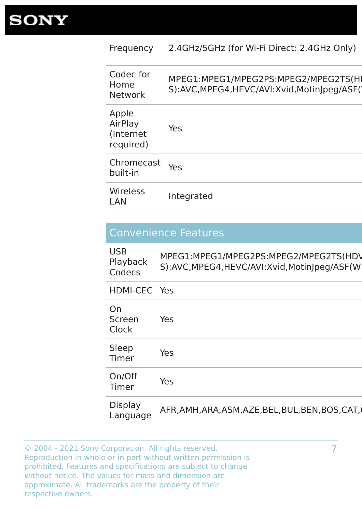| Frequency                                   | 2.4GHz/5GHz (for Wi-Fi Direct: 2.4GHz Only)                                           |
|---------------------------------------------|---------------------------------------------------------------------------------------|
| Codec for<br>Home<br>Network                | MPEG1:MPEG1/MPEG2PS:MPEG2/MPEG2TS(HI<br>S):AVC, MPEG4, HEVC/AVI: Xvid, MotinJpeg/ASF( |
| Apple<br>AirPlay<br>(Internet)<br>required) | Yes                                                                                   |
| Chromecast Yes<br>built-in                  |                                                                                       |
| Wireless<br><b>LAN</b>                      | Integrated                                                                            |

#### Convenience Features

| <b>USB</b><br>Playback<br>Codecs | MPEG1:MPEG1/MPEG2PS:MPEG2/MPEG2TS(HDV<br>S):AVC, MPEG4, HEVC/AVI: Xvid, MotinJpeg/ASF(W) |
|----------------------------------|------------------------------------------------------------------------------------------|
| HDMI-CEC Yes                     |                                                                                          |
| On<br>Screen<br>Clock            | Yes                                                                                      |
| Sleep<br>Timer                   | Yes                                                                                      |
| On/Off<br>Timer                  | Yes                                                                                      |
| Display<br>Language              | AFR, AMH, ARA, ASM, AZE, BEL, BUL, BEN, BOS, CAT,                                        |

© 2004 - 2021 Sony Corporation. All rights reserved. Reproduction in whole or in part without written permission is prohibited. Features and specifications are subject to change without notice. The values for mass and dimension are approximate. All trademarks are the property of their respective owners.

7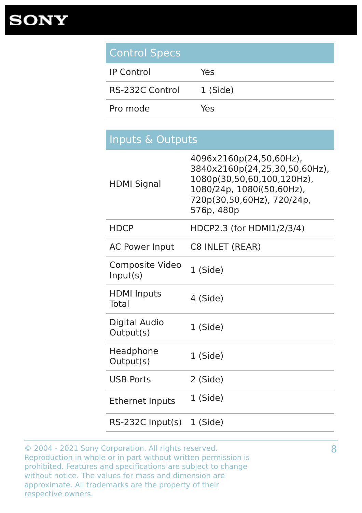| <b>Control Specs</b>               |                                                                                                                                                                 |
|------------------------------------|-----------------------------------------------------------------------------------------------------------------------------------------------------------------|
| <b>IP Control</b>                  | Yes                                                                                                                                                             |
| <b>RS-232C Control</b>             | 1 (Side)                                                                                                                                                        |
| Pro mode                           | Yes                                                                                                                                                             |
|                                    |                                                                                                                                                                 |
| Inputs & Outputs                   |                                                                                                                                                                 |
| <b>HDMI Signal</b>                 | 4096x2160p(24,50,60Hz),<br>3840x2160p(24,25,30,50,60Hz),<br>1080p(30,50,60,100,120Hz),<br>1080/24p, 1080i(50,60Hz),<br>720p(30,50,60Hz), 720/24p,<br>576p, 480p |
| <b>HDCP</b>                        | HDCP2.3 (for HDMI1/2/3/4)                                                                                                                                       |
| <b>AC Power Input</b>              | C8 INLET (REAR)                                                                                                                                                 |
| Composite Video<br>Input(s)        | 1 (Side)                                                                                                                                                        |
| <b>HDMI</b> Inputs<br><b>Total</b> | 4 (Side)                                                                                                                                                        |
| <b>Digital Audio</b><br>Output(s)  | 1 (Side)                                                                                                                                                        |
| Headphone<br>Output(s)             | 1 (Side)                                                                                                                                                        |
| <b>USB Ports</b>                   | 2 (Side)                                                                                                                                                        |
| <b>Ethernet Inputs</b>             | 1 (Side)                                                                                                                                                        |
| $RS-232C$ Input(s)                 | 1 (Side)                                                                                                                                                        |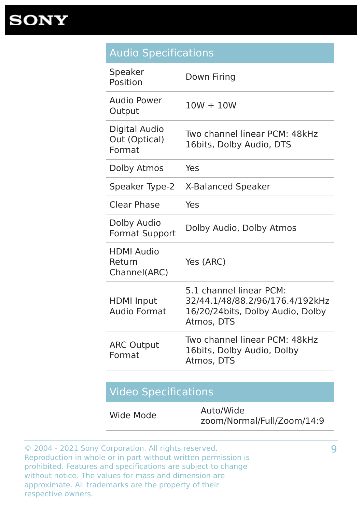#### Audio Specifications

| Speaker<br>Position                             | Down Firing                                                                                                  |
|-------------------------------------------------|--------------------------------------------------------------------------------------------------------------|
| <b>Audio Power</b><br>Output                    | $10W + 10W$                                                                                                  |
| <b>Digital Audio</b><br>Out (Optical)<br>Format | Two channel linear PCM: 48kHz<br>16bits, Dolby Audio, DTS                                                    |
| Dolby Atmos                                     | Yes                                                                                                          |
| Speaker Type-2                                  | <b>X-Balanced Speaker</b>                                                                                    |
| <b>Clear Phase</b>                              | Yes                                                                                                          |
| Dolby Audio<br><b>Format Support</b>            | Dolby Audio, Dolby Atmos                                                                                     |
| <b>HDMI Audio</b><br>Return<br>Channel(ARC)     | Yes (ARC)                                                                                                    |
| <b>HDMI Input</b><br><b>Audio Format</b>        | 5.1 channel linear PCM:<br>32/44.1/48/88.2/96/176.4/192kHz<br>16/20/24bits, Dolby Audio, Dolby<br>Atmos, DTS |
| <b>ARC Output</b><br>Format                     | Two channel linear PCM: 48kHz<br>16bits, Dolby Audio, Dolby<br>Atmos, DTS                                    |
|                                                 |                                                                                                              |

#### Video Specifications

| Wide Mode | Auto/Wide                  |
|-----------|----------------------------|
|           | zoom/Normal/Full/Zoom/14:9 |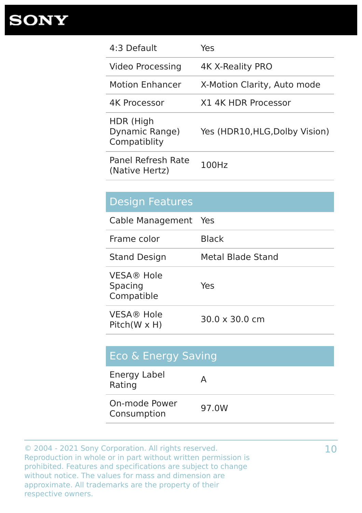| 4:3 Default                                 | Yes                            |
|---------------------------------------------|--------------------------------|
| Video Processing                            | 4K X-Reality PRO               |
| <b>Motion Enhancer</b>                      | X-Motion Clarity, Auto mode    |
| <b>4K Processor</b>                         | X1 4K HDR Processor            |
| HDR (High<br>Dynamic Range)<br>Compatiblity | Yes (HDR10, HLG, Dolby Vision) |
| Panel Refresh Rate<br>(Native Hertz)        | 100Hz                          |

| <b>Design Features</b>                     |                               |
|--------------------------------------------|-------------------------------|
| Cable Management Yes                       |                               |
| Frame color                                | <b>Black</b>                  |
| <b>Stand Design</b>                        | Metal Blade Stand             |
| <b>VESA® Hole</b><br>Spacing<br>Compatible | Yes                           |
| <b>VESA® Hole</b><br>$Pitch(W \times H)$   | $30.0 \times 30.0 \text{ cm}$ |

| <b>Eco &amp; Energy Saving</b> |       |
|--------------------------------|-------|
| Energy Label<br>Rating         |       |
| On-mode Power<br>Consumption   | 97.0W |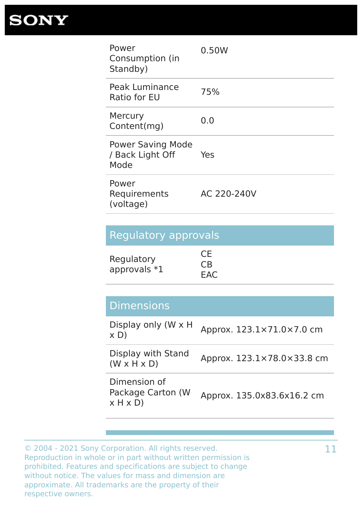

| Power<br>Consumption (in<br>Standby)                 | 0.50W       |
|------------------------------------------------------|-------------|
| Peak Luminance<br>Ratio for EU                       | 75%         |
| Mercury<br>Content(mg)                               | 0.0         |
| <b>Power Saving Mode</b><br>/ Back Light Off<br>Mode | Yes         |
| Power<br>Requirements<br>(voltage)                   | AC 220-240V |

|  |  | <b>Regulatory approvals</b> |  |
|--|--|-----------------------------|--|
|  |  |                             |  |
|  |  |                             |  |
|  |  |                             |  |

|                              | <b>CE</b> |
|------------------------------|-----------|
| Regulatory<br>approvals $*1$ | <b>CB</b> |
|                              | EAC       |

| <b>Dimensions</b> |  |  |
|-------------------|--|--|
|                   |  |  |

| Display only (W x H<br>$\times$ D)                | Approx. 123.1×71.0×7.0 cm  |
|---------------------------------------------------|----------------------------|
| Display with Stand<br>$(W \times H \times D)$     | Approx. 123.1×78.0×33.8 cm |
| Dimension of<br>Package Carton (W<br>$x$ H $x$ D) | Approx. 135.0x83.6x16.2 cm |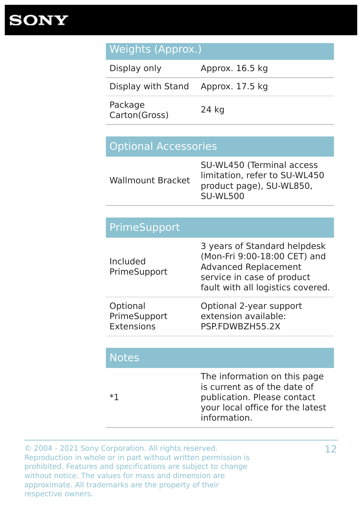

| Weights (Approx.) |  |  |
|-------------------|--|--|
|                   |  |  |

| Display only                       | Approx. 16.5 kg |
|------------------------------------|-----------------|
| Display with Stand Approx. 17.5 kg |                 |
| Package<br>Carton(Gross)           | 24 kg           |

#### Optional Accessories

| limitation, refer to SU-WL450<br><b>Wallmount Bracket</b><br>product page), SU-WL850,<br><b>SU-WL500</b> |
|----------------------------------------------------------------------------------------------------------|
|----------------------------------------------------------------------------------------------------------|

| <b>PrimeSupport</b>                    |                                                                                                                                                                |
|----------------------------------------|----------------------------------------------------------------------------------------------------------------------------------------------------------------|
| Included<br>PrimeSupport               | 3 years of Standard helpdesk<br>(Mon-Fri 9:00-18:00 CET) and<br><b>Advanced Replacement</b><br>service in case of product<br>fault with all logistics covered. |
| Optional<br>PrimeSupport<br>Extensions | Optional 2-year support<br>extension available:<br>PSP.FDWBZH55.2X                                                                                             |

| <b>Notes</b> |                                                                                                                                                 |
|--------------|-------------------------------------------------------------------------------------------------------------------------------------------------|
| ר∗           | The information on this page<br>is current as of the date of<br>publication. Please contact<br>your local office for the latest<br>information. |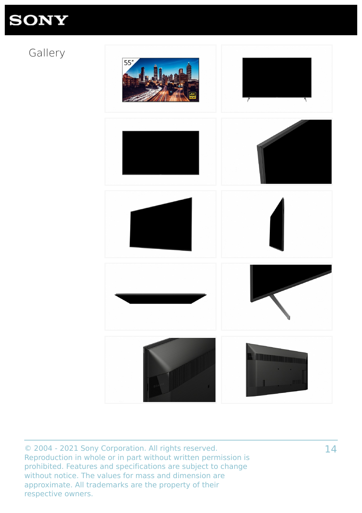### Gallery